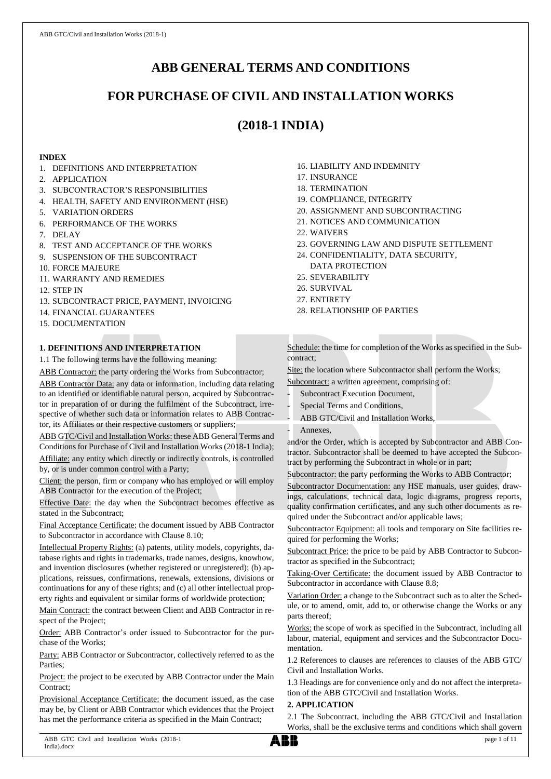# **ABB GENERAL TERMS AND CONDITIONS**

# **FOR PURCHASE OF CIVIL AND INSTALLATION WORKS**

# **(2018-1 INDIA)**

## **INDEX**

- 1. DEFINITIONS AND INTERPRETATION
- 2. APPLICATION
- 3. SUBCONTRACTOR'S RESPONSIBILITIES
- 4. HEALTH, SAFETY AND ENVIRONMENT (HSE)
- 5. VARIATION ORDERS
- 6. PERFORMANCE OF THE WORKS
- 7. DELAY
- 8. TEST AND ACCEPTANCE OF THE WORKS
- 9. SUSPENSION OF THE SUBCONTRACT
- 10. FORCE MAJEURE
- 11. WARRANTY AND REMEDIES
- 12. STEP IN
- 13. SUBCONTRACT PRICE, PAYMENT, INVOICING
- 14. FINANCIAL GUARANTEES
- 15. DOCUMENTATION

## **1. DEFINITIONS AND INTERPRETATION**

1.1 The following terms have the following meaning:

ABB Contractor: the party ordering the Works from Subcontractor; ABB Contractor Data: any data or information, including data relating to an identified or identifiable natural person, acquired by Subcontrac-

tor in preparation of or during the fulfilment of the Subcontract, irrespective of whether such data or information relates to ABB Contractor, its Affiliates or their respective customers or suppliers;

ABB GTC/Civil and Installation Works: these ABB General Terms and Conditions for Purchase of Civil and Installation Works (2018-1 India); Affiliate: any entity which directly or indirectly controls, is controlled by, or is under common control with a Party;

Client: the person, firm or company who has employed or will employ ABB Contractor for the execution of the Project;

Effective Date: the day when the Subcontract becomes effective as stated in the Subcontract;

Final Acceptance Certificate: the document issued by ABB Contractor to Subcontractor in accordance with Clause 8.10;

Intellectual Property Rights: (a) patents, utility models, copyrights, database rights and rights in trademarks, trade names, designs, knowhow, and invention disclosures (whether registered or unregistered); (b) applications, reissues, confirmations, renewals, extensions, divisions or continuations for any of these rights; and (c) all other intellectual property rights and equivalent or similar forms of worldwide protection;

Main Contract: the contract between Client and ABB Contractor in respect of the Project;

Order: ABB Contractor's order issued to Subcontractor for the purchase of the Works;

Party: ABB Contractor or Subcontractor, collectively referred to as the **Parties** 

Project: the project to be executed by ABB Contractor under the Main Contract<sup>®</sup>

Provisional Acceptance Certificate: the document issued, as the case may be, by Client or ABB Contractor which evidences that the Project has met the performance criteria as specified in the Main Contract;

- 16. LIABILITY AND INDEMNITY
- 17. INSURANCE
- 18. TERMINATION
- 19. COMPLIANCE, INTEGRITY
- 20. ASSIGNMENT AND SUBCONTRACTING
- 21. NOTICES AND COMMUNICATION
- 22. WAIVERS
- 23. GOVERNING LAW AND DISPUTE SETTLEMENT
- 24. CONFIDENTIALITY, DATA SECURITY, DATA PROTECTION
- 25. SEVERABILITY
- 26. SURVIVAL
- 27. ENTIRETY
- 28. RELATIONSHIP OF PARTIES

Schedule: the time for completion of the Works as specified in the Subcontract;

Site: the location where Subcontractor shall perform the Works;

Subcontract: a written agreement, comprising of:

- Subcontract Execution Document,
- Special Terms and Conditions,
- ABB GTC/Civil and Installation Works,
- Annexes.

and/or the Order, which is accepted by Subcontractor and ABB Contractor. Subcontractor shall be deemed to have accepted the Subcontract by performing the Subcontract in whole or in part;

Subcontractor: the party performing the Works to ABB Contractor;

Subcontractor Documentation: any HSE manuals, user guides, drawings, calculations, technical data, logic diagrams, progress reports, quality confirmation certificates, and any such other documents as required under the Subcontract and/or applicable laws;

Subcontractor Equipment: all tools and temporary on Site facilities required for performing the Works;

Subcontract Price: the price to be paid by ABB Contractor to Subcontractor as specified in the Subcontract;

Taking-Over Certificate: the document issued by ABB Contractor to Subcontractor in accordance with Clause 8.8;

Variation Order: a change to the Subcontract such as to alter the Schedule, or to amend, omit, add to, or otherwise change the Works or any parts thereof;

Works: the scope of work as specified in the Subcontract, including all labour, material, equipment and services and the Subcontractor Documentation.

1.2 References to clauses are references to clauses of the ABB GTC/ Civil and Installation Works.

1.3 Headings are for convenience only and do not affect the interpretation of the ABB GTC/Civil and Installation Works.

## **2. APPLICATION**

2.1 The Subcontract, including the ABB GTC/Civil and Installation Works, shall be the exclusive terms and conditions which shall govern

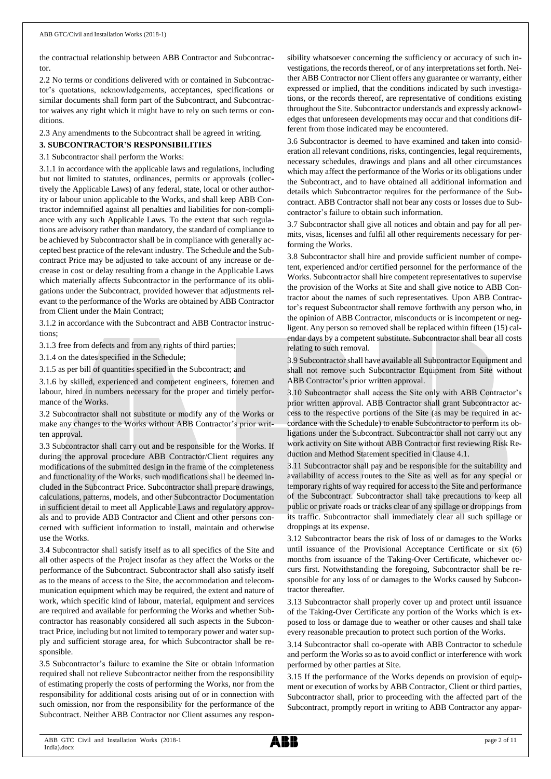the contractual relationship between ABB Contractor and Subcontractor.

2.2 No terms or conditions delivered with or contained in Subcontractor's quotations, acknowledgements, acceptances, specifications or similar documents shall form part of the Subcontract, and Subcontractor waives any right which it might have to rely on such terms or conditions.

2.3 Any amendments to the Subcontract shall be agreed in writing.

## **3. SUBCONTRACTOR'S RESPONSIBILITIES**

3.1 Subcontractor shall perform the Works:

3.1.1 in accordance with the applicable laws and regulations, including but not limited to statutes, ordinances, permits or approvals (collectively the Applicable Laws) of any federal, state, local or other authority or labour union applicable to the Works, and shall keep ABB Contractor indemnified against all penalties and liabilities for non-compliance with any such Applicable Laws. To the extent that such regulations are advisory rather than mandatory, the standard of compliance to be achieved by Subcontractor shall be in compliance with generally accepted best practice of the relevant industry. The Schedule and the Subcontract Price may be adjusted to take account of any increase or decrease in cost or delay resulting from a change in the Applicable Laws which materially affects Subcontractor in the performance of its obligations under the Subcontract, provided however that adjustments relevant to the performance of the Works are obtained by ABB Contractor from Client under the Main Contract;

3.1.2 in accordance with the Subcontract and ABB Contractor instructions;

3.1.3 free from defects and from any rights of third parties;

3.1.4 on the dates specified in the Schedule;

3.1.5 as per bill of quantities specified in the Subcontract; and

3.1.6 by skilled, experienced and competent engineers, foremen and labour, hired in numbers necessary for the proper and timely performance of the Works.

3.2 Subcontractor shall not substitute or modify any of the Works or make any changes to the Works without ABB Contractor's prior written approval.

3.3 Subcontractor shall carry out and be responsible for the Works. If during the approval procedure ABB Contractor/Client requires any modifications of the submitted design in the frame of the completeness and functionality of the Works, such modifications shall be deemed included in the Subcontract Price. Subcontractor shall prepare drawings, calculations, patterns, models, and other Subcontractor Documentation in sufficient detail to meet all Applicable Laws and regulatory approvals and to provide ABB Contractor and Client and other persons concerned with sufficient information to install, maintain and otherwise use the Works.

3.4 Subcontractor shall satisfy itself as to all specifics of the Site and all other aspects of the Project insofar as they affect the Works or the performance of the Subcontract. Subcontractor shall also satisfy itself as to the means of access to the Site, the accommodation and telecommunication equipment which may be required, the extent and nature of work, which specific kind of labour, material, equipment and services are required and available for performing the Works and whether Subcontractor has reasonably considered all such aspects in the Subcontract Price, including but not limited to temporary power and water supply and sufficient storage area, for which Subcontractor shall be responsible.

3.5 Subcontractor's failure to examine the Site or obtain information required shall not relieve Subcontractor neither from the responsibility of estimating properly the costs of performing the Works, nor from the responsibility for additional costs arising out of or in connection with such omission, nor from the responsibility for the performance of the Subcontract. Neither ABB Contractor nor Client assumes any responsibility whatsoever concerning the sufficiency or accuracy of such investigations, the records thereof, or of any interpretations set forth. Neither ABB Contractor nor Client offers any guarantee or warranty, either expressed or implied, that the conditions indicated by such investigations, or the records thereof, are representative of conditions existing throughout the Site. Subcontractor understands and expressly acknowledges that unforeseen developments may occur and that conditions different from those indicated may be encountered.

3.6 Subcontractor is deemed to have examined and taken into consideration all relevant conditions, risks, contingencies, legal requirements, necessary schedules, drawings and plans and all other circumstances which may affect the performance of the Works or its obligations under the Subcontract, and to have obtained all additional information and details which Subcontractor requires for the performance of the Subcontract. ABB Contractor shall not bear any costs or losses due to Subcontractor's failure to obtain such information.

3.7 Subcontractor shall give all notices and obtain and pay for all permits, visas, licenses and fulfil all other requirements necessary for performing the Works.

3.8 Subcontractor shall hire and provide sufficient number of competent, experienced and/or certified personnel for the performance of the Works. Subcontractor shall hire competent representatives to supervise the provision of the Works at Site and shall give notice to ABB Contractor about the names of such representatives. Upon ABB Contractor's request Subcontractor shall remove forthwith any person who, in the opinion of ABB Contractor, misconducts or is incompetent or negligent. Any person so removed shall be replaced within fifteen (15) calendar days by a competent substitute. Subcontractor shall bear all costs relating to such removal.

3.9 Subcontractor shall have available all Subcontractor Equipment and shall not remove such Subcontractor Equipment from Site without ABB Contractor's prior written approval.

3.10 Subcontractor shall access the Site only with ABB Contractor's prior written approval. ABB Contractor shall grant Subcontractor access to the respective portions of the Site (as may be required in accordance with the Schedule) to enable Subcontractor to perform its obligations under the Subcontract. Subcontractor shall not carry out any work activity on Site without ABB Contractor first reviewing Risk Reduction and Method Statement specified in Clause 4.1.

3.11 Subcontractor shall pay and be responsible for the suitability and availability of access routes to the Site as well as for any special or temporary rights of way required for access to the Site and performance of the Subcontract. Subcontractor shall take precautions to keep all public or private roads or tracks clear of any spillage or droppings from its traffic. Subcontractor shall immediately clear all such spillage or droppings at its expense.

3.12 Subcontractor bears the risk of loss of or damages to the Works until issuance of the Provisional Acceptance Certificate or six (6) months from issuance of the Taking-Over Certificate, whichever occurs first. Notwithstanding the foregoing, Subcontractor shall be responsible for any loss of or damages to the Works caused by Subcontractor thereafter.

3.13 Subcontractor shall properly cover up and protect until issuance of the Taking-Over Certificate any portion of the Works which is exposed to loss or damage due to weather or other causes and shall take every reasonable precaution to protect such portion of the Works.

3.14 Subcontractor shall co-operate with ABB Contractor to schedule and perform the Works so as to avoid conflict or interference with work performed by other parties at Site.

3.15 If the performance of the Works depends on provision of equipment or execution of works by ABB Contractor, Client or third parties, Subcontractor shall, prior to proceeding with the affected part of the Subcontract, promptly report in writing to ABB Contractor any appar-

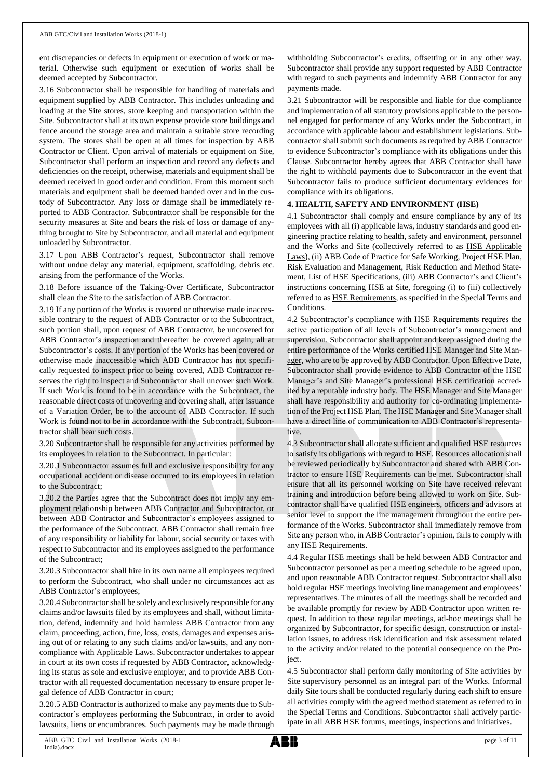ent discrepancies or defects in equipment or execution of work or material. Otherwise such equipment or execution of works shall be deemed accepted by Subcontractor.

3.16 Subcontractor shall be responsible for handling of materials and equipment supplied by ABB Contractor. This includes unloading and loading at the Site stores, store keeping and transportation within the Site. Subcontractor shall at its own expense provide store buildings and fence around the storage area and maintain a suitable store recording system. The stores shall be open at all times for inspection by ABB Contractor or Client. Upon arrival of materials or equipment on Site, Subcontractor shall perform an inspection and record any defects and deficiencies on the receipt, otherwise, materials and equipment shall be deemed received in good order and condition. From this moment such materials and equipment shall be deemed handed over and in the custody of Subcontractor. Any loss or damage shall be immediately reported to ABB Contractor. Subcontractor shall be responsible for the security measures at Site and bears the risk of loss or damage of anything brought to Site by Subcontractor, and all material and equipment unloaded by Subcontractor.

3.17 Upon ABB Contractor's request, Subcontractor shall remove without undue delay any material, equipment, scaffolding, debris etc. arising from the performance of the Works.

3.18 Before issuance of the Taking-Over Certificate, Subcontractor shall clean the Site to the satisfaction of ABB Contractor.

3.19 If any portion of the Works is covered or otherwise made inaccessible contrary to the request of ABB Contractor or to the Subcontract, such portion shall, upon request of ABB Contractor, be uncovered for ABB Contractor's inspection and thereafter be covered again, all at Subcontractor's costs. If any portion of the Works has been covered or otherwise made inaccessible which ABB Contractor has not specifically requested to inspect prior to being covered, ABB Contractor reserves the right to inspect and Subcontractor shall uncover such Work. If such Work is found to be in accordance with the Subcontract, the reasonable direct costs of uncovering and covering shall, after issuance of a Variation Order, be to the account of ABB Contractor. If such Work is found not to be in accordance with the Subcontract, Subcontractor shall bear such costs.

3.20 Subcontractor shall be responsible for any activities performed by its employees in relation to the Subcontract. In particular:

3.20.1 Subcontractor assumes full and exclusive responsibility for any occupational accident or disease occurred to its employees in relation to the Subcontract;

3.20.2 the Parties agree that the Subcontract does not imply any employment relationship between ABB Contractor and Subcontractor, or between ABB Contractor and Subcontractor's employees assigned to the performance of the Subcontract. ABB Contractor shall remain free of any responsibility or liability for labour, social security or taxes with respect to Subcontractor and its employees assigned to the performance of the Subcontract;

3.20.3 Subcontractor shall hire in its own name all employees required to perform the Subcontract, who shall under no circumstances act as ABB Contractor's employees;

3.20.4 Subcontractorshall be solely and exclusively responsible for any claims and/or lawsuits filed by its employees and shall, without limitation, defend, indemnify and hold harmless ABB Contractor from any claim, proceeding, action, fine, loss, costs, damages and expenses arising out of or relating to any such claims and/or lawsuits, and any noncompliance with Applicable Laws. Subcontractor undertakes to appear in court at its own costs if requested by ABB Contractor, acknowledging its status as sole and exclusive employer, and to provide ABB Contractor with all requested documentation necessary to ensure proper legal defence of ABB Contractor in court;

3.20.5 ABB Contractor is authorized to make any payments due to Subcontractor's employees performing the Subcontract, in order to avoid lawsuits, liens or encumbrances. Such payments may be made through

withholding Subcontractor's credits, offsetting or in any other way. Subcontractor shall provide any support requested by ABB Contractor with regard to such payments and indemnify ABB Contractor for any payments made.

3.21 Subcontractor will be responsible and liable for due compliance and implementation of all statutory provisions applicable to the personnel engaged for performance of any Works under the Subcontract, in accordance with applicable labour and establishment legislations. Subcontractor shall submit such documents as required by ABB Contractor to evidence Subcontractor's compliance with its obligations under this Clause. Subcontractor hereby agrees that ABB Contractor shall have the right to withhold payments due to Subcontractor in the event that Subcontractor fails to produce sufficient documentary evidences for compliance with its obligations.

## **4. HEALTH, SAFETY AND ENVIRONMENT (HSE)**

4.1 Subcontractor shall comply and ensure compliance by any of its employees with all (i) applicable laws, industry standards and good engineering practice relating to health, safety and environment, personnel and the Works and Site (collectively referred to as HSE Applicable Laws), (ii) ABB Code of Practice for Safe Working, Project HSE Plan, Risk Evaluation and Management, Risk Reduction and Method Statement, List of HSE Specifications, (iii) ABB Contractor's and Client's instructions concerning HSE at Site, foregoing (i) to (iii) collectively referred to as HSE Requirements, as specified in the Special Terms and Conditions.

4.2 Subcontractor's compliance with HSE Requirements requires the active participation of all levels of Subcontractor's management and supervision. Subcontractor shall appoint and keep assigned during the entire performance of the Works certified HSE Manager and Site Manager, who are to be approved by ABB Contractor. Upon Effective Date, Subcontractor shall provide evidence to ABB Contractor of the HSE Manager's and Site Manager's professional HSE certification accredited by a reputable industry body. The HSE Manager and Site Manager shall have responsibility and authority for co-ordinating implementation of the Project HSE Plan. The HSE Manager and Site Manager shall have a direct line of communication to ABB Contractor's representative.

4.3 Subcontractor shall allocate sufficient and qualified HSE resources to satisfy its obligations with regard to HSE. Resources allocation shall be reviewed periodically by Subcontractor and shared with ABB Contractor to ensure HSE Requirements can be met. Subcontractor shall ensure that all its personnel working on Site have received relevant training and introduction before being allowed to work on Site. Subcontractor shall have qualified HSE engineers, officers and advisors at senior level to support the line management throughout the entire performance of the Works. Subcontractor shall immediately remove from Site any person who, in ABB Contractor's opinion, fails to comply with any HSE Requirements.

4.4 Regular HSE meetings shall be held between ABB Contractor and Subcontractor personnel as per a meeting schedule to be agreed upon, and upon reasonable ABB Contractor request. Subcontractor shall also hold regular HSE meetings involving line management and employees' representatives. The minutes of all the meetings shall be recorded and be available promptly for review by ABB Contractor upon written request. In addition to these regular meetings, ad-hoc meetings shall be organized by Subcontractor, for specific design, construction or installation issues, to address risk identification and risk assessment related to the activity and/or related to the potential consequence on the Project.

4.5 Subcontractor shall perform daily monitoring of Site activities by Site supervisory personnel as an integral part of the Works. Informal daily Site tours shall be conducted regularly during each shift to ensure all activities comply with the agreed method statement as referred to in the Special Terms and Conditions. Subcontractor shall actively participate in all ABB HSE forums, meetings, inspections and initiatives.

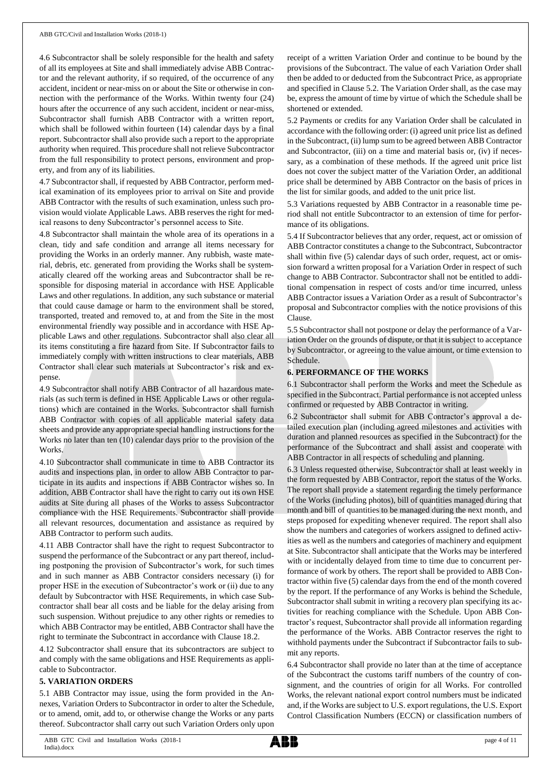4.6 Subcontractor shall be solely responsible for the health and safety of all its employees at Site and shall immediately advise ABB Contractor and the relevant authority, if so required, of the occurrence of any accident, incident or near-miss on or about the Site or otherwise in connection with the performance of the Works. Within twenty four (24) hours after the occurrence of any such accident, incident or near-miss, Subcontractor shall furnish ABB Contractor with a written report, which shall be followed within fourteen (14) calendar days by a final report. Subcontractor shall also provide such a report to the appropriate authority when required. This procedure shall not relieve Subcontractor from the full responsibility to protect persons, environment and property, and from any of its liabilities.

4.7 Subcontractor shall, if requested by ABB Contractor, perform medical examination of its employees prior to arrival on Site and provide ABB Contractor with the results of such examination, unless such provision would violate Applicable Laws. ABB reserves the right for medical reasons to deny Subcontractor's personnel access to Site.

4.8 Subcontractor shall maintain the whole area of its operations in a clean, tidy and safe condition and arrange all items necessary for providing the Works in an orderly manner. Any rubbish, waste material, debris, etc. generated from providing the Works shall be systematically cleared off the working areas and Subcontractor shall be responsible for disposing material in accordance with HSE Applicable Laws and other regulations. In addition, any such substance or material that could cause damage or harm to the environment shall be stored, transported, treated and removed to, at and from the Site in the most environmental friendly way possible and in accordance with HSE Applicable Laws and other regulations. Subcontractor shall also clear all its items constituting a fire hazard from Site. If Subcontractor fails to immediately comply with written instructions to clear materials, ABB Contractor shall clear such materials at Subcontractor's risk and expense.

4.9 Subcontractor shall notify ABB Contractor of all hazardous materials (as such term is defined in HSE Applicable Laws or other regulations) which are contained in the Works. Subcontractor shall furnish ABB Contractor with copies of all applicable material safety data sheets and provide any appropriate special handling instructions for the Works no later than ten (10) calendar days prior to the provision of the Works.

4.10 Subcontractor shall communicate in time to ABB Contractor its audits and inspections plan, in order to allow ABB Contractor to participate in its audits and inspections if ABB Contractor wishes so. In addition, ABB Contractor shall have the right to carry out its own HSE audits at Site during all phases of the Works to assess Subcontractor compliance with the HSE Requirements. Subcontractor shall provide all relevant resources, documentation and assistance as required by ABB Contractor to perform such audits.

4.11 ABB Contractor shall have the right to request Subcontractor to suspend the performance of the Subcontract or any part thereof, including postponing the provision of Subcontractor's work, for such times and in such manner as ABB Contractor considers necessary (i) for proper HSE in the execution of Subcontractor's work or (ii) due to any default by Subcontractor with HSE Requirements, in which case Subcontractor shall bear all costs and be liable for the delay arising from such suspension. Without prejudice to any other rights or remedies to which ABB Contractor may be entitled, ABB Contractor shall have the right to terminate the Subcontract in accordance with Clause 18.2.

4.12 Subcontractor shall ensure that its subcontractors are subject to and comply with the same obligations and HSE Requirements as applicable to Subcontractor.

## **5. VARIATION ORDERS**

5.1 ABB Contractor may issue, using the form provided in the Annexes, Variation Orders to Subcontractor in order to alter the Schedule, or to amend, omit, add to, or otherwise change the Works or any parts thereof. Subcontractor shall carry out such Variation Orders only upon receipt of a written Variation Order and continue to be bound by the provisions of the Subcontract. The value of each Variation Order shall then be added to or deducted from the Subcontract Price, as appropriate and specified in Clause 5.2. The Variation Order shall, as the case may be, express the amount of time by virtue of which the Schedule shall be shortened or extended.

5.2 Payments or credits for any Variation Order shall be calculated in accordance with the following order: (i) agreed unit price list as defined in the Subcontract, (ii) lump sum to be agreed between ABB Contractor and Subcontractor, (iii) on a time and material basis or, (iv) if necessary, as a combination of these methods. If the agreed unit price list does not cover the subject matter of the Variation Order, an additional price shall be determined by ABB Contractor on the basis of prices in the list for similar goods, and added to the unit price list.

5.3 Variations requested by ABB Contractor in a reasonable time period shall not entitle Subcontractor to an extension of time for performance of its obligations.

5.4 If Subcontractor believes that any order, request, act or omission of ABB Contractor constitutes a change to the Subcontract, Subcontractor shall within five (5) calendar days of such order, request, act or omission forward a written proposal for a Variation Order in respect of such change to ABB Contractor. Subcontractor shall not be entitled to additional compensation in respect of costs and/or time incurred, unless ABB Contractor issues a Variation Order as a result of Subcontractor's proposal and Subcontractor complies with the notice provisions of this Clause.

5.5 Subcontractor shall not postpone or delay the performance of a Variation Order on the grounds of dispute, or that it is subject to acceptance by Subcontractor, or agreeing to the value amount, or time extension to Schedule.

## **6. PERFORMANCE OF THE WORKS**

6.1 Subcontractor shall perform the Works and meet the Schedule as specified in the Subcontract. Partial performance is not accepted unless confirmed or requested by ABB Contractor in writing.

6.2 Subcontractor shall submit for ABB Contractor's approval a detailed execution plan (including agreed milestones and activities with duration and planned resources as specified in the Subcontract) for the performance of the Subcontract and shall assist and cooperate with ABB Contractor in all respects of scheduling and planning.

6.3 Unless requested otherwise, Subcontractor shall at least weekly in the form requested by ABB Contractor, report the status of the Works. The report shall provide a statement regarding the timely performance of the Works (including photos), bill of quantities managed during that month and bill of quantities to be managed during the next month, and steps proposed for expediting whenever required. The report shall also show the numbers and categories of workers assigned to defined activities as well as the numbers and categories of machinery and equipment at Site. Subcontractor shall anticipate that the Works may be interfered with or incidentally delayed from time to time due to concurrent performance of work by others. The report shall be provided to ABB Contractor within five (5) calendar days from the end of the month covered by the report. If the performance of any Works is behind the Schedule, Subcontractor shall submit in writing a recovery plan specifying its activities for reaching compliance with the Schedule. Upon ABB Contractor's request, Subcontractor shall provide all information regarding the performance of the Works. ABB Contractor reserves the right to withhold payments under the Subcontract if Subcontractor fails to submit any reports.

6.4 Subcontractor shall provide no later than at the time of acceptance of the Subcontract the customs tariff numbers of the country of consignment, and the countries of origin for all Works. For controlled Works, the relevant national export control numbers must be indicated and, if the Works are subject to U.S. export regulations, the U.S. Export Control Classification Numbers (ECCN) or classification numbers of

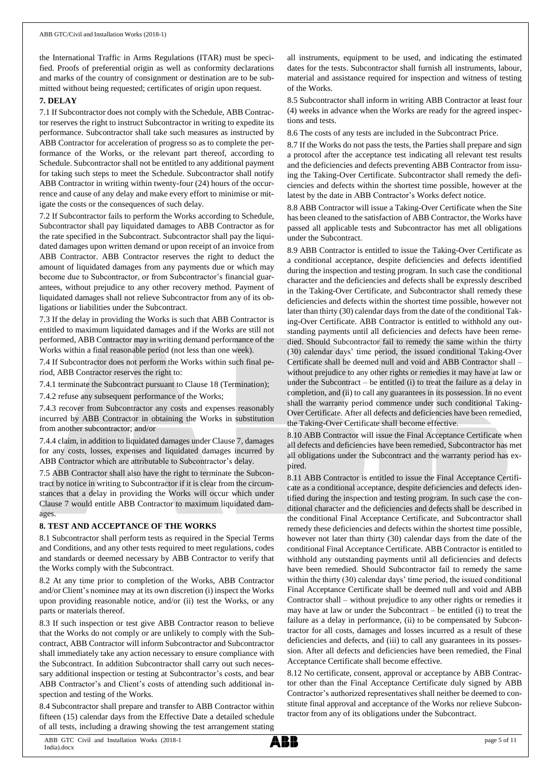the International Traffic in Arms Regulations (ITAR) must be specified. Proofs of preferential origin as well as conformity declarations and marks of the country of consignment or destination are to be submitted without being requested; certificates of origin upon request.

#### **7. DELAY**

7.1 If Subcontractor does not comply with the Schedule, ABB Contractor reserves the right to instruct Subcontractor in writing to expedite its performance. Subcontractor shall take such measures as instructed by ABB Contractor for acceleration of progress so as to complete the performance of the Works, or the relevant part thereof, according to Schedule. Subcontractor shall not be entitled to any additional payment for taking such steps to meet the Schedule. Subcontractor shall notify ABB Contractor in writing within twenty-four (24) hours of the occurrence and cause of any delay and make every effort to minimise or mitigate the costs or the consequences of such delay.

7.2 If Subcontractor fails to perform the Works according to Schedule, Subcontractor shall pay liquidated damages to ABB Contractor as for the rate specified in the Subcontract. Subcontractor shall pay the liquidated damages upon written demand or upon receipt of an invoice from ABB Contractor. ABB Contractor reserves the right to deduct the amount of liquidated damages from any payments due or which may become due to Subcontractor, or from Subcontractor's financial guarantees, without prejudice to any other recovery method. Payment of liquidated damages shall not relieve Subcontractor from any of its obligations or liabilities under the Subcontract.

7.3 If the delay in providing the Works is such that ABB Contractor is entitled to maximum liquidated damages and if the Works are still not performed, ABB Contractor may in writing demand performance of the Works within a final reasonable period (not less than one week).

7.4 If Subcontractor does not perform the Works within such final period, ABB Contractor reserves the right to:

7.4.1 terminate the Subcontract pursuant to Clause 18 (Termination);

7.4.2 refuse any subsequent performance of the Works;

7.4.3 recover from Subcontractor any costs and expenses reasonably incurred by ABB Contractor in obtaining the Works in substitution from another subcontractor; and/or

7.4.4 claim, in addition to liquidated damages under Clause 7, damages for any costs, losses, expenses and liquidated damages incurred by ABB Contractor which are attributable to Subcontractor's delay.

7.5 ABB Contractor shall also have the right to terminate the Subcontract by notice in writing to Subcontractor if it is clear from the circumstances that a delay in providing the Works will occur which under Clause 7 would entitle ABB Contractor to maximum liquidated damages.

## **8. TEST AND ACCEPTANCE OF THE WORKS**

8.1 Subcontractor shall perform tests as required in the Special Terms and Conditions, and any other tests required to meet regulations, codes and standards or deemed necessary by ABB Contractor to verify that the Works comply with the Subcontract.

8.2 At any time prior to completion of the Works, ABB Contractor and/or Client's nominee may at its own discretion (i) inspect the Works upon providing reasonable notice, and/or (ii) test the Works, or any parts or materials thereof.

8.3 If such inspection or test give ABB Contractor reason to believe that the Works do not comply or are unlikely to comply with the Subcontract, ABB Contractor will inform Subcontractor and Subcontractor shall immediately take any action necessary to ensure compliance with the Subcontract. In addition Subcontractor shall carry out such necessary additional inspection or testing at Subcontractor's costs, and bear ABB Contractor's and Client's costs of attending such additional inspection and testing of the Works.

8.4 Subcontractor shall prepare and transfer to ABB Contractor within fifteen (15) calendar days from the Effective Date a detailed schedule of all tests, including a drawing showing the test arrangement stating all instruments, equipment to be used, and indicating the estimated dates for the tests. Subcontractor shall furnish all instruments, labour, material and assistance required for inspection and witness of testing of the Works.

8.5 Subcontractor shall inform in writing ABB Contractor at least four (4) weeks in advance when the Works are ready for the agreed inspections and tests.

8.6 The costs of any tests are included in the Subcontract Price.

8.7 If the Works do not pass the tests, the Parties shall prepare and sign a protocol after the acceptance test indicating all relevant test results and the deficiencies and defects preventing ABB Contractor from issuing the Taking-Over Certificate. Subcontractor shall remedy the deficiencies and defects within the shortest time possible, however at the latest by the date in ABB Contractor's Works defect notice.

8.8 ABB Contractor will issue a Taking-Over Certificate when the Site has been cleaned to the satisfaction of ABB Contractor, the Works have passed all applicable tests and Subcontractor has met all obligations under the Subcontract.

8.9 ABB Contractor is entitled to issue the Taking-Over Certificate as a conditional acceptance, despite deficiencies and defects identified during the inspection and testing program. In such case the conditional character and the deficiencies and defects shall be expressly described in the Taking-Over Certificate, and Subcontractor shall remedy these deficiencies and defects within the shortest time possible, however not later than thirty (30) calendar days from the date of the conditional Taking-Over Certificate. ABB Contractor is entitled to withhold any outstanding payments until all deficiencies and defects have been remedied. Should Subcontractor fail to remedy the same within the thirty (30) calendar days' time period, the issued conditional Taking-Over Certificate shall be deemed null and void and ABB Contractor shall – without prejudice to any other rights or remedies it may have at law or under the Subcontract – be entitled (i) to treat the failure as a delay in completion, and (ii) to call any guarantees in its possession. In no event shall the warranty period commence under such conditional Taking-Over Certificate. After all defects and deficiencies have been remedied, the Taking-Over Certificate shall become effective.

8.10 ABB Contractor will issue the Final Acceptance Certificate when all defects and deficiencies have been remedied, Subcontractor has met all obligations under the Subcontract and the warranty period has expired.

8.11 ABB Contractor is entitled to issue the Final Acceptance Certificate as a conditional acceptance, despite deficiencies and defects identified during the inspection and testing program. In such case the conditional character and the deficiencies and defects shall be described in the conditional Final Acceptance Certificate, and Subcontractor shall remedy these deficiencies and defects within the shortest time possible, however not later than thirty (30) calendar days from the date of the conditional Final Acceptance Certificate. ABB Contractor is entitled to withhold any outstanding payments until all deficiencies and defects have been remedied. Should Subcontractor fail to remedy the same within the thirty (30) calendar days' time period, the issued conditional Final Acceptance Certificate shall be deemed null and void and ABB Contractor shall – without prejudice to any other rights or remedies it may have at law or under the Subcontract – be entitled (i) to treat the failure as a delay in performance, (ii) to be compensated by Subcontractor for all costs, damages and losses incurred as a result of these deficiencies and defects, and (iii) to call any guarantees in its possession. After all defects and deficiencies have been remedied, the Final Acceptance Certificate shall become effective.

8.12 No certificate, consent, approval or acceptance by ABB Contractor other than the Final Acceptance Certificate duly signed by ABB Contractor's authorized representatives shall neither be deemed to constitute final approval and acceptance of the Works nor relieve Subcontractor from any of its obligations under the Subcontract.

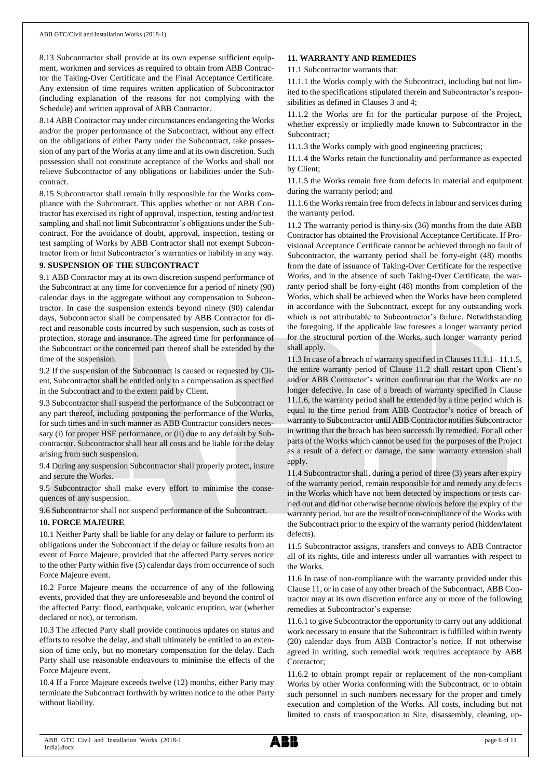8.13 Subcontractor shall provide at its own expense sufficient equipment, workmen and services as required to obtain from ABB Contractor the Taking-Over Certificate and the Final Acceptance Certificate. Any extension of time requires written application of Subcontractor (including explanation of the reasons for not complying with the Schedule) and written approval of ABB Contractor.

8.14 ABB Contractor may under circumstances endangering the Works and/or the proper performance of the Subcontract, without any effect on the obligations of either Party under the Subcontract, take possession of any part of the Works at any time and at its own discretion. Such possession shall not constitute acceptance of the Works and shall not relieve Subcontractor of any obligations or liabilities under the Subcontract.

8.15 Subcontractor shall remain fully responsible for the Works compliance with the Subcontract. This applies whether or not ABB Contractor has exercised its right of approval, inspection, testing and/or test sampling and shall not limit Subcontractor's obligations under the Subcontract. For the avoidance of doubt, approval, inspection, testing or test sampling of Works by ABB Contractor shall not exempt Subcontractor from or limit Subcontractor's warranties or liability in any way.

#### **9. SUSPENSION OF THE SUBCONTRACT**

9.1 ABB Contractor may at its own discretion suspend performance of the Subcontract at any time for convenience for a period of ninety (90) calendar days in the aggregate without any compensation to Subcontractor. In case the suspension extends beyond ninety (90) calendar days, Subcontractor shall be compensated by ABB Contractor for direct and reasonable costs incurred by such suspension, such as costs of protection, storage and insurance. The agreed time for performance of the Subcontract or the concerned part thereof shall be extended by the time of the suspension.

9.2 If the suspension of the Subcontract is caused or requested by Client, Subcontractor shall be entitled only to a compensation as specified in the Subcontract and to the extent paid by Client.

9.3 Subcontractor shall suspend the performance of the Subcontract or any part thereof, including postponing the performance of the Works, for such times and in such manner as ABB Contractor considers necessary (i) for proper HSE performance, or (ii) due to any default by Subcontractor. Subcontractor shall bear all costs and be liable for the delay arising from such suspension.

9.4 During any suspension Subcontractor shall properly protect, insure and secure the Works.

9.5 Subcontractor shall make every effort to minimise the consequences of any suspension.

9.6 Subcontractor shall not suspend performance of the Subcontract.

#### **10. FORCE MAJEURE**

10.1 Neither Party shall be liable for any delay or failure to perform its obligations under the Subcontract if the delay or failure results from an event of Force Majeure, provided that the affected Party serves notice to the other Party within five (5) calendar days from occurrence of such Force Majeure event.

10.2 Force Majeure means the occurrence of any of the following events, provided that they are unforeseeable and beyond the control of the affected Party: flood, earthquake, volcanic eruption, war (whether declared or not), or terrorism.

10.3 The affected Party shall provide continuous updates on status and efforts to resolve the delay, and shall ultimately be entitled to an extension of time only, but no monetary compensation for the delay. Each Party shall use reasonable endeavours to minimise the effects of the Force Majeure event.

10.4 If a Force Majeure exceeds twelve (12) months, either Party may terminate the Subcontract forthwith by written notice to the other Party without liability.

## **11. WARRANTY AND REMEDIES**

11.1 Subcontractor warrants that:

11.1.1 the Works comply with the Subcontract, including but not limited to the specifications stipulated therein and Subcontractor's responsibilities as defined in Clauses 3 and 4;

11.1.2 the Works are fit for the particular purpose of the Project, whether expressly or impliedly made known to Subcontractor in the Subcontract;

11.1.3 the Works comply with good engineering practices;

11.1.4 the Works retain the functionality and performance as expected by Client;

11.1.5 the Works remain free from defects in material and equipment during the warranty period; and

11.1.6 the Works remain free from defects in labour and services during the warranty period.

11.2 The warranty period is thirty-six (36) months from the date ABB Contractor has obtained the Provisional Acceptance Certificate. If Provisional Acceptance Certificate cannot be achieved through no fault of Subcontractor, the warranty period shall be forty-eight (48) months from the date of issuance of Taking-Over Certificate for the respective Works, and in the absence of such Taking-Over Certificate, the warranty period shall be forty-eight (48) months from completion of the Works, which shall be achieved when the Works have been completed in accordance with the Subcontract, except for any outstanding work which is not attributable to Subcontractor's failure. Notwithstanding the foregoing, if the applicable law foresees a longer warranty period for the structural portion of the Works, such longer warranty period shall apply.

11.3 In case of a breach of warranty specified in Clauses 11.1.1– 11.1.5, the entire warranty period of Clause 11.2 shall restart upon Client's and/or ABB Contractor's written confirmation that the Works are no longer defective. In case of a breach of warranty specified in Clause 11.1.6, the warranty period shall be extended by a time period which is equal to the time period from ABB Contractor's notice of breach of warranty to Subcontractor until ABB Contractor notifies Subcontractor in writing that the breach has been successfully remedied. For all other parts of the Works which cannot be used for the purposes of the Project as a result of a defect or damage, the same warranty extension shall apply.

11.4 Subcontractor shall, during a period of three (3) years after expiry of the warranty period, remain responsible for and remedy any defects in the Works which have not been detected by inspections or tests carried out and did not otherwise become obvious before the expiry of the warranty period, but are the result of non-compliance of the Works with the Subcontract prior to the expiry of the warranty period (hidden/latent defects).

11.5 Subcontractor assigns, transfers and conveys to ABB Contractor all of its rights, title and interests under all warranties with respect to the Works.

11.6 In case of non-compliance with the warranty provided under this Clause 11, or in case of any other breach of the Subcontract, ABB Contractor may at its own discretion enforce any or more of the following remedies at Subcontractor's expense:

11.6.1 to give Subcontractor the opportunity to carry out any additional work necessary to ensure that the Subcontract is fulfilled within twenty (20) calendar days from ABB Contractor's notice. If not otherwise agreed in writing, such remedial work requires acceptance by ABB Contractor;

11.6.2 to obtain prompt repair or replacement of the non-compliant Works by other Works conforming with the Subcontract, or to obtain such personnel in such numbers necessary for the proper and timely execution and completion of the Works. All costs, including but not limited to costs of transportation to Site, disassembly, cleaning, up-

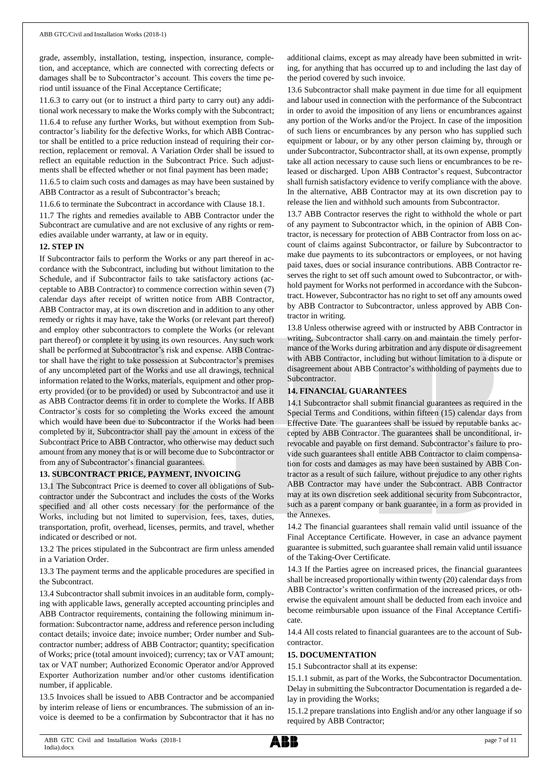grade, assembly, installation, testing, inspection, insurance, completion, and acceptance, which are connected with correcting defects or damages shall be to Subcontractor's account. This covers the time period until issuance of the Final Acceptance Certificate;

11.6.3 to carry out (or to instruct a third party to carry out) any additional work necessary to make the Works comply with the Subcontract;

11.6.4 to refuse any further Works, but without exemption from Subcontractor's liability for the defective Works, for which ABB Contractor shall be entitled to a price reduction instead of requiring their correction, replacement or removal. A Variation Order shall be issued to reflect an equitable reduction in the Subcontract Price. Such adjustments shall be effected whether or not final payment has been made;

11.6.5 to claim such costs and damages as may have been sustained by ABB Contractor as a result of Subcontractor's breach;

11.6.6 to terminate the Subcontract in accordance with Clause 18.1.

11.7 The rights and remedies available to ABB Contractor under the Subcontract are cumulative and are not exclusive of any rights or remedies available under warranty, at law or in equity.

## **12. STEP IN**

If Subcontractor fails to perform the Works or any part thereof in accordance with the Subcontract, including but without limitation to the Schedule, and if Subcontractor fails to take satisfactory actions (acceptable to ABB Contractor) to commence correction within seven (7) calendar days after receipt of written notice from ABB Contractor, ABB Contractor may, at its own discretion and in addition to any other remedy or rights it may have, take the Works (or relevant part thereof) and employ other subcontractors to complete the Works (or relevant part thereof) or complete it by using its own resources. Any such work shall be performed at Subcontractor's risk and expense. ABB Contractor shall have the right to take possession at Subcontractor's premises of any uncompleted part of the Works and use all drawings, technical information related to the Works, materials, equipment and other property provided (or to be provided) or used by Subcontractor and use it as ABB Contractor deems fit in order to complete the Works. If ABB Contractor's costs for so completing the Works exceed the amount which would have been due to Subcontractor if the Works had been completed by it, Subcontractor shall pay the amount in excess of the Subcontract Price to ABB Contractor, who otherwise may deduct such amount from any money that is or will become due to Subcontractor or from any of Subcontractor's financial guarantees.

## **13. SUBCONTRACT PRICE, PAYMENT, INVOICING**

13.1 The Subcontract Price is deemed to cover all obligations of Subcontractor under the Subcontract and includes the costs of the Works specified and all other costs necessary for the performance of the Works, including but not limited to supervision, fees, taxes, duties, transportation, profit, overhead, licenses, permits, and travel, whether indicated or described or not.

13.2 The prices stipulated in the Subcontract are firm unless amended in a Variation Order.

13.3 The payment terms and the applicable procedures are specified in the Subcontract.

13.4 Subcontractor shall submit invoices in an auditable form, complying with applicable laws, generally accepted accounting principles and ABB Contractor requirements, containing the following minimum information: Subcontractor name, address and reference person including contact details; invoice date; invoice number; Order number and Subcontractor number; address of ABB Contractor; quantity; specification of Works; price (total amount invoiced); currency; tax or VAT amount; tax or VAT number; Authorized Economic Operator and/or Approved Exporter Authorization number and/or other customs identification number, if applicable.

13.5 Invoices shall be issued to ABB Contractor and be accompanied by interim release of liens or encumbrances. The submission of an invoice is deemed to be a confirmation by Subcontractor that it has no

additional claims, except as may already have been submitted in writing, for anything that has occurred up to and including the last day of the period covered by such invoice.

13.6 Subcontractor shall make payment in due time for all equipment and labour used in connection with the performance of the Subcontract in order to avoid the imposition of any liens or encumbrances against any portion of the Works and/or the Project. In case of the imposition of such liens or encumbrances by any person who has supplied such equipment or labour, or by any other person claiming by, through or under Subcontractor, Subcontractor shall, at its own expense, promptly take all action necessary to cause such liens or encumbrances to be released or discharged. Upon ABB Contractor's request, Subcontractor shall furnish satisfactory evidence to verify compliance with the above. In the alternative, ABB Contractor may at its own discretion pay to release the lien and withhold such amounts from Subcontractor.

13.7 ABB Contractor reserves the right to withhold the whole or part of any payment to Subcontractor which, in the opinion of ABB Contractor, is necessary for protection of ABB Contractor from loss on account of claims against Subcontractor, or failure by Subcontractor to make due payments to its subcontractors or employees, or not having paid taxes, dues or social insurance contributions. ABB Contractor reserves the right to set off such amount owed to Subcontractor, or withhold payment for Works not performed in accordance with the Subcontract. However, Subcontractor has no right to set off any amounts owed by ABB Contractor to Subcontractor, unless approved by ABB Contractor in writing.

13.8 Unless otherwise agreed with or instructed by ABB Contractor in writing, Subcontractor shall carry on and maintain the timely performance of the Works during arbitration and any dispute or disagreement with ABB Contractor, including but without limitation to a dispute or disagreement about ABB Contractor's withholding of payments due to Subcontractor.

## **14. FINANCIAL GUARANTEES**

14.1 Subcontractor shall submit financial guarantees as required in the Special Terms and Conditions, within fifteen (15) calendar days from Effective Date. The guarantees shall be issued by reputable banks accepted by ABB Contractor. The guarantees shall be unconditional, irrevocable and payable on first demand. Subcontractor's failure to provide such guarantees shall entitle ABB Contractor to claim compensation for costs and damages as may have been sustained by ABB Contractor as a result of such failure, without prejudice to any other rights ABB Contractor may have under the Subcontract. ABB Contractor may at its own discretion seek additional security from Subcontractor, such as a parent company or bank guarantee, in a form as provided in the Annexes.

14.2 The financial guarantees shall remain valid until issuance of the Final Acceptance Certificate. However, in case an advance payment guarantee is submitted, such guarantee shall remain valid until issuance of the Taking-Over Certificate.

14.3 If the Parties agree on increased prices, the financial guarantees shall be increased proportionally within twenty (20) calendar days from ABB Contractor's written confirmation of the increased prices, or otherwise the equivalent amount shall be deducted from each invoice and become reimbursable upon issuance of the Final Acceptance Certificate.

14.4 All costs related to financial guarantees are to the account of Subcontractor.

## **15. DOCUMENTATION**

15.1 Subcontractor shall at its expense:

15.1.1 submit, as part of the Works, the Subcontractor Documentation. Delay in submitting the Subcontractor Documentation is regarded a delay in providing the Works;

15.1.2 prepare translations into English and/or any other language if so required by ABB Contractor;

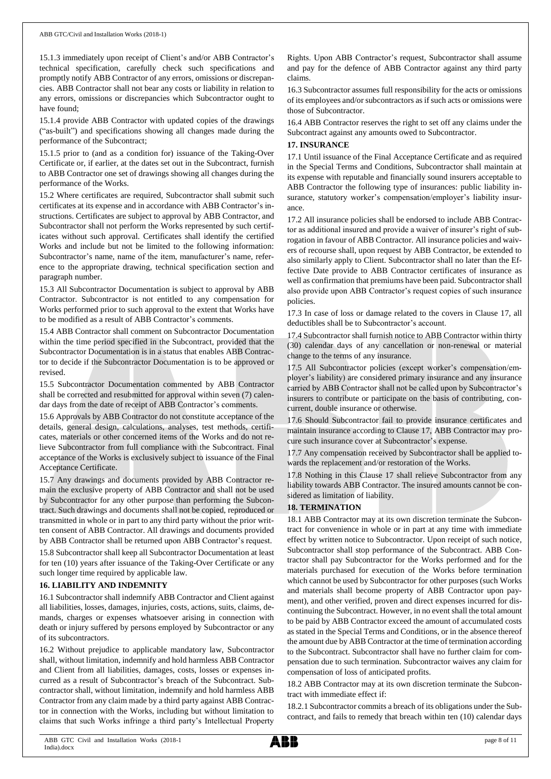15.1.3 immediately upon receipt of Client's and/or ABB Contractor's technical specification, carefully check such specifications and promptly notify ABB Contractor of any errors, omissions or discrepancies. ABB Contractor shall not bear any costs or liability in relation to any errors, omissions or discrepancies which Subcontractor ought to have found;

15.1.4 provide ABB Contractor with updated copies of the drawings ("as-built") and specifications showing all changes made during the performance of the Subcontract;

15.1.5 prior to (and as a condition for) issuance of the Taking-Over Certificate or, if earlier, at the dates set out in the Subcontract, furnish to ABB Contractor one set of drawings showing all changes during the performance of the Works.

15.2 Where certificates are required, Subcontractor shall submit such certificates at its expense and in accordance with ABB Contractor's instructions. Certificates are subject to approval by ABB Contractor, and Subcontractor shall not perform the Works represented by such certificates without such approval. Certificates shall identify the certified Works and include but not be limited to the following information: Subcontractor's name, name of the item, manufacturer's name, reference to the appropriate drawing, technical specification section and paragraph number.

15.3 All Subcontractor Documentation is subject to approval by ABB Contractor. Subcontractor is not entitled to any compensation for Works performed prior to such approval to the extent that Works have to be modified as a result of ABB Contractor's comments.

15.4 ABB Contractor shall comment on Subcontractor Documentation within the time period specified in the Subcontract, provided that the Subcontractor Documentation is in a status that enables ABB Contractor to decide if the Subcontractor Documentation is to be approved or revised.

15.5 Subcontractor Documentation commented by ABB Contractor shall be corrected and resubmitted for approval within seven (7) calendar days from the date of receipt of ABB Contractor's comments.

15.6 Approvals by ABB Contractor do not constitute acceptance of the details, general design, calculations, analyses, test methods, certificates, materials or other concerned items of the Works and do not relieve Subcontractor from full compliance with the Subcontract. Final acceptance of the Works is exclusively subject to issuance of the Final Acceptance Certificate.

15.7 Any drawings and documents provided by ABB Contractor remain the exclusive property of ABB Contractor and shall not be used by Subcontractor for any other purpose than performing the Subcontract. Such drawings and documents shall not be copied, reproduced or transmitted in whole or in part to any third party without the prior written consent of ABB Contractor. All drawings and documents provided by ABB Contractor shall be returned upon ABB Contractor's request.

15.8 Subcontractor shall keep all Subcontractor Documentation at least for ten (10) years after issuance of the Taking-Over Certificate or any such longer time required by applicable law.

## **16. LIABILITY AND INDEMNITY**

16.1 Subcontractor shall indemnify ABB Contractor and Client against all liabilities, losses, damages, injuries, costs, actions, suits, claims, demands, charges or expenses whatsoever arising in connection with death or injury suffered by persons employed by Subcontractor or any of its subcontractors.

16.2 Without prejudice to applicable mandatory law, Subcontractor shall, without limitation, indemnify and hold harmless ABB Contractor and Client from all liabilities, damages, costs, losses or expenses incurred as a result of Subcontractor's breach of the Subcontract. Subcontractor shall, without limitation, indemnify and hold harmless ABB Contractor from any claim made by a third party against ABB Contractor in connection with the Works, including but without limitation to claims that such Works infringe a third party's Intellectual Property

Rights. Upon ABB Contractor's request, Subcontractor shall assume and pay for the defence of ABB Contractor against any third party claims.

16.3 Subcontractor assumes full responsibility for the acts or omissions of its employees and/or subcontractors as if such acts or omissions were those of Subcontractor.

16.4 ABB Contractor reserves the right to set off any claims under the Subcontract against any amounts owed to Subcontractor.

## **17. INSURANCE**

17.1 Until issuance of the Final Acceptance Certificate and as required in the Special Terms and Conditions, Subcontractor shall maintain at its expense with reputable and financially sound insurers acceptable to ABB Contractor the following type of insurances: public liability insurance, statutory worker's compensation/employer's liability insurance.

17.2 All insurance policies shall be endorsed to include ABB Contractor as additional insured and provide a waiver of insurer's right of subrogation in favour of ABB Contractor. All insurance policies and waivers of recourse shall, upon request by ABB Contractor, be extended to also similarly apply to Client. Subcontractor shall no later than the Effective Date provide to ABB Contractor certificates of insurance as well as confirmation that premiums have been paid. Subcontractor shall also provide upon ABB Contractor's request copies of such insurance policies.

17.3 In case of loss or damage related to the covers in Clause 17, all deductibles shall be to Subcontractor's account.

17.4 Subcontractor shall furnish notice to ABB Contractor within thirty (30) calendar days of any cancellation or non-renewal or material change to the terms of any insurance.

17.5 All Subcontractor policies (except worker's compensation/employer's liability) are considered primary insurance and any insurance carried by ABB Contractor shall not be called upon by Subcontractor's insurers to contribute or participate on the basis of contributing, concurrent, double insurance or otherwise.

17.6 Should Subcontractor fail to provide insurance certificates and maintain insurance according to Clause 17, ABB Contractor may procure such insurance cover at Subcontractor's expense.

17.7 Any compensation received by Subcontractor shall be applied towards the replacement and/or restoration of the Works.

17.8 Nothing in this Clause 17 shall relieve Subcontractor from any liability towards ABB Contractor. The insured amounts cannot be considered as limitation of liability.

## **18. TERMINATION**

18.1 ABB Contractor may at its own discretion terminate the Subcontract for convenience in whole or in part at any time with immediate effect by written notice to Subcontractor. Upon receipt of such notice, Subcontractor shall stop performance of the Subcontract. ABB Contractor shall pay Subcontractor for the Works performed and for the materials purchased for execution of the Works before termination which cannot be used by Subcontractor for other purposes (such Works and materials shall become property of ABB Contractor upon payment), and other verified, proven and direct expenses incurred for discontinuing the Subcontract. However, in no event shall the total amount to be paid by ABB Contractor exceed the amount of accumulated costs as stated in the Special Terms and Conditions, or in the absence thereof the amount due by ABB Contractor at the time of termination according to the Subcontract. Subcontractor shall have no further claim for compensation due to such termination. Subcontractor waives any claim for compensation of loss of anticipated profits.

18.2 ABB Contractor may at its own discretion terminate the Subcontract with immediate effect if:

18.2.1 Subcontractor commits a breach of its obligations under the Subcontract, and fails to remedy that breach within ten (10) calendar days

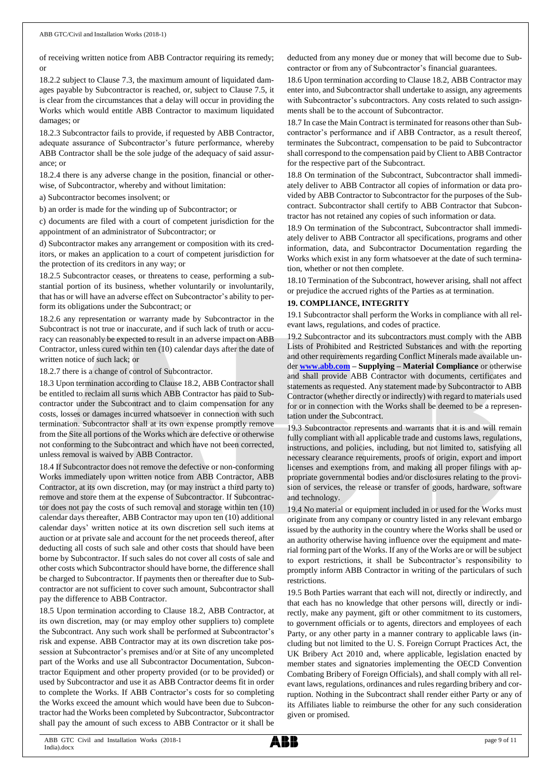of receiving written notice from ABB Contractor requiring its remedy; or

18.2.2 subject to Clause 7.3, the maximum amount of liquidated damages payable by Subcontractor is reached, or, subject to Clause 7.5, it is clear from the circumstances that a delay will occur in providing the Works which would entitle ABB Contractor to maximum liquidated damages; or

18.2.3 Subcontractor fails to provide, if requested by ABB Contractor, adequate assurance of Subcontractor's future performance, whereby ABB Contractor shall be the sole judge of the adequacy of said assurance; or

18.2.4 there is any adverse change in the position, financial or otherwise, of Subcontractor, whereby and without limitation:

a) Subcontractor becomes insolvent; or

b) an order is made for the winding up of Subcontractor; or

c) documents are filed with a court of competent jurisdiction for the appointment of an administrator of Subcontractor; or

d) Subcontractor makes any arrangement or composition with its creditors, or makes an application to a court of competent jurisdiction for the protection of its creditors in any way; or

18.2.5 Subcontractor ceases, or threatens to cease, performing a substantial portion of its business, whether voluntarily or involuntarily, that has or will have an adverse effect on Subcontractor's ability to perform its obligations under the Subcontract; or

18.2.6 any representation or warranty made by Subcontractor in the Subcontract is not true or inaccurate, and if such lack of truth or accuracy can reasonably be expected to result in an adverse impact on ABB Contractor, unless cured within ten (10) calendar days after the date of written notice of such lack; or

18.2.7 there is a change of control of Subcontractor.

18.3 Upon termination according to Clause 18.2, ABB Contractor shall be entitled to reclaim all sums which ABB Contractor has paid to Subcontractor under the Subcontract and to claim compensation for any costs, losses or damages incurred whatsoever in connection with such termination. Subcontractor shall at its own expense promptly remove from the Site all portions of the Works which are defective or otherwise not conforming to the Subcontract and which have not been corrected, unless removal is waived by ABB Contractor.

18.4 If Subcontractor does not remove the defective or non-conforming Works immediately upon written notice from ABB Contractor, ABB Contractor, at its own discretion, may (or may instruct a third party to) remove and store them at the expense of Subcontractor. If Subcontractor does not pay the costs of such removal and storage within ten (10) calendar days thereafter, ABB Contractor may upon ten (10) additional calendar days' written notice at its own discretion sell such items at auction or at private sale and account for the net proceeds thereof, after deducting all costs of such sale and other costs that should have been borne by Subcontractor. If such sales do not cover all costs of sale and other costs which Subcontractor should have borne, the difference shall be charged to Subcontractor. If payments then or thereafter due to Subcontractor are not sufficient to cover such amount, Subcontractor shall pay the difference to ABB Contractor.

18.5 Upon termination according to Clause 18.2, ABB Contractor, at its own discretion, may (or may employ other suppliers to) complete the Subcontract. Any such work shall be performed at Subcontractor's risk and expense. ABB Contractor may at its own discretion take possession at Subcontractor's premises and/or at Site of any uncompleted part of the Works and use all Subcontractor Documentation, Subcontractor Equipment and other property provided (or to be provided) or used by Subcontractor and use it as ABB Contractor deems fit in order to complete the Works. If ABB Contractor's costs for so completing the Works exceed the amount which would have been due to Subcontractor had the Works been completed by Subcontractor, Subcontractor shall pay the amount of such excess to ABB Contractor or it shall be

deducted from any money due or money that will become due to Subcontractor or from any of Subcontractor's financial guarantees.

18.6 Upon termination according to Clause 18.2, ABB Contractor may enter into, and Subcontractor shall undertake to assign, any agreements with Subcontractor's subcontractors. Any costs related to such assignments shall be to the account of Subcontractor.

18.7 In case the Main Contract is terminated for reasons other than Subcontractor's performance and if ABB Contractor, as a result thereof, terminates the Subcontract, compensation to be paid to Subcontractor shall correspond to the compensation paid by Client to ABB Contractor for the respective part of the Subcontract.

18.8 On termination of the Subcontract, Subcontractor shall immediately deliver to ABB Contractor all copies of information or data provided by ABB Contractor to Subcontractor for the purposes of the Subcontract. Subcontractor shall certify to ABB Contractor that Subcontractor has not retained any copies of such information or data.

18.9 On termination of the Subcontract, Subcontractor shall immediately deliver to ABB Contractor all specifications, programs and other information, data, and Subcontractor Documentation regarding the Works which exist in any form whatsoever at the date of such termination, whether or not then complete.

18.10 Termination of the Subcontract, however arising, shall not affect or prejudice the accrued rights of the Parties as at termination.

## **19. COMPLIANCE, INTEGRITY**

19.1 Subcontractor shall perform the Works in compliance with all relevant laws, regulations, and codes of practice.

19.2 Subcontractor and its subcontractors must comply with the ABB Lists of Prohibited and Restricted Substances and with the reporting and other requirements regarding Conflict Minerals made available under **[www.abb.com](http://www.abb.com/) – Supplying – Material Compliance** or otherwise and shall provide ABB Contractor with documents, certificates and statements as requested. Any statement made by Subcontractor to ABB Contractor (whether directly or indirectly) with regard to materials used for or in connection with the Works shall be deemed to be a representation under the Subcontract.

19.3 Subcontractor represents and warrants that it is and will remain fully compliant with all applicable trade and customs laws, regulations, instructions, and policies, including, but not limited to, satisfying all necessary clearance requirements, proofs of origin, export and import licenses and exemptions from, and making all proper filings with appropriate governmental bodies and/or disclosures relating to the provision of services, the release or transfer of goods, hardware, software and technology.

19.4 No material or equipment included in or used for the Works must originate from any company or country listed in any relevant embargo issued by the authority in the country where the Works shall be used or an authority otherwise having influence over the equipment and material forming part of the Works. If any of the Works are or will be subject to export restrictions, it shall be Subcontractor's responsibility to promptly inform ABB Contractor in writing of the particulars of such restrictions.

19.5 Both Parties warrant that each will not, directly or indirectly, and that each has no knowledge that other persons will, directly or indirectly, make any payment, gift or other commitment to its customers, to government officials or to agents, directors and employees of each Party, or any other party in a manner contrary to applicable laws (including but not limited to the U. S. Foreign Corrupt Practices Act, the UK Bribery Act 2010 and, where applicable, legislation enacted by member states and signatories implementing the OECD Convention Combating Bribery of Foreign Officials), and shall comply with all relevant laws, regulations, ordinances and rules regarding bribery and corruption. Nothing in the Subcontract shall render either Party or any of its Affiliates liable to reimburse the other for any such consideration given or promised.

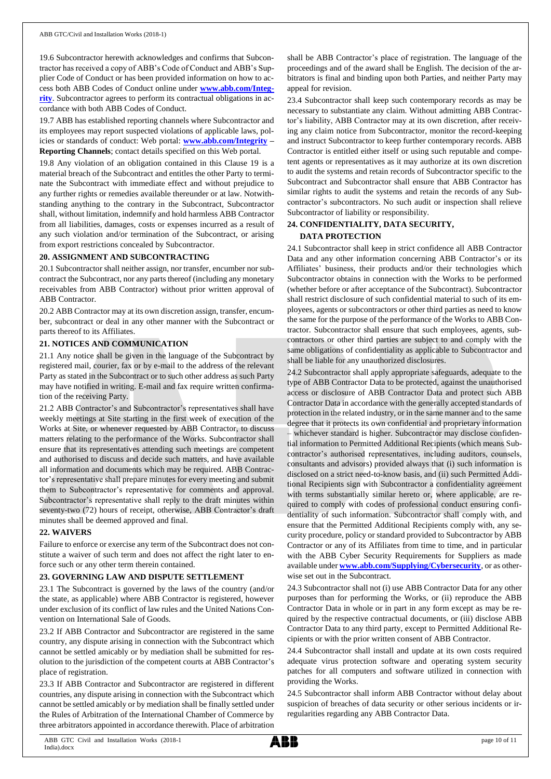19.6 Subcontractor herewith acknowledges and confirms that Subcontractor has received a copy of ABB's Code of Conduct and ABB's Supplier Code of Conduct or has been provided information on how to access both ABB Codes of Conduct online under **[www.abb.com/Integ](http://www.abb.com/Integrity)[rity](http://www.abb.com/Integrity)**. Subcontractor agrees to perform its contractual obligations in accordance with both ABB Codes of Conduct.

19.7 ABB has established reporting channels where Subcontractor and its employees may report suspected violations of applicable laws, policies or standards of conduct: Web portal: **[www.abb.com/Integrity](http://www.abb.com/Integrity) – Reporting Channels**; contact details specified on this Web portal.

19.8 Any violation of an obligation contained in this Clause 19 is a material breach of the Subcontract and entitles the other Party to terminate the Subcontract with immediate effect and without prejudice to any further rights or remedies available thereunder or at law. Notwithstanding anything to the contrary in the Subcontract, Subcontractor shall, without limitation, indemnify and hold harmless ABB Contractor from all liabilities, damages, costs or expenses incurred as a result of any such violation and/or termination of the Subcontract, or arising from export restrictions concealed by Subcontractor.

## **20. ASSIGNMENT AND SUBCONTRACTING**

20.1 Subcontractor shall neither assign, nor transfer, encumber nor subcontract the Subcontract, nor any parts thereof (including any monetary receivables from ABB Contractor) without prior written approval of ABB Contractor.

20.2 ABB Contractor may at its own discretion assign, transfer, encumber, subcontract or deal in any other manner with the Subcontract or parts thereof to its Affiliates.

## **21. NOTICES AND COMMUNICATION**

21.1 Any notice shall be given in the language of the Subcontract by registered mail, courier, fax or by e-mail to the address of the relevant Party as stated in the Subcontract or to such other address as such Party may have notified in writing. E-mail and fax require written confirmation of the receiving Party.

21.2 ABB Contractor's and Subcontractor's representatives shall have weekly meetings at Site starting in the first week of execution of the Works at Site, or whenever requested by ABB Contractor, to discuss matters relating to the performance of the Works. Subcontractor shall ensure that its representatives attending such meetings are competent and authorised to discuss and decide such matters, and have available all information and documents which may be required. ABB Contractor's representative shall prepare minutes for every meeting and submit them to Subcontractor's representative for comments and approval. Subcontractor's representative shall reply to the draft minutes within seventy-two (72) hours of receipt, otherwise, ABB Contractor's draft minutes shall be deemed approved and final.

#### **22. WAIVERS**

Failure to enforce or exercise any term of the Subcontract does not constitute a waiver of such term and does not affect the right later to enforce such or any other term therein contained.

## **23. GOVERNING LAW AND DISPUTE SETTLEMENT**

23.1 The Subcontract is governed by the laws of the country (and/or the state, as applicable) where ABB Contractor is registered, however under exclusion of its conflict of law rules and the United Nations Convention on International Sale of Goods.

23.2 If ABB Contractor and Subcontractor are registered in the same country, any dispute arising in connection with the Subcontract which cannot be settled amicably or by mediation shall be submitted for resolution to the jurisdiction of the competent courts at ABB Contractor's place of registration.

23.3 If ABB Contractor and Subcontractor are registered in different countries, any dispute arising in connection with the Subcontract which cannot be settled amicably or by mediation shall be finally settled under the Rules of Arbitration of the International Chamber of Commerce by three arbitrators appointed in accordance therewith. Place of arbitration shall be ABB Contractor's place of registration. The language of the proceedings and of the award shall be English. The decision of the arbitrators is final and binding upon both Parties, and neither Party may appeal for revision.

23.4 Subcontractor shall keep such contemporary records as may be necessary to substantiate any claim. Without admitting ABB Contractor's liability, ABB Contractor may at its own discretion, after receiving any claim notice from Subcontractor, monitor the record-keeping and instruct Subcontractor to keep further contemporary records. ABB Contractor is entitled either itself or using such reputable and competent agents or representatives as it may authorize at its own discretion to audit the systems and retain records of Subcontractor specific to the Subcontract and Subcontractor shall ensure that ABB Contractor has similar rights to audit the systems and retain the records of any Subcontractor's subcontractors. No such audit or inspection shall relieve Subcontractor of liability or responsibility.

## **24. CONFIDENTIALITY, DATA SECURITY, DATA PROTECTION**

24.1 Subcontractor shall keep in strict confidence all ABB Contractor Data and any other information concerning ABB Contractor's or its Affiliates' business, their products and/or their technologies which Subcontractor obtains in connection with the Works to be performed (whether before or after acceptance of the Subcontract). Subcontractor shall restrict disclosure of such confidential material to such of its employees, agents or subcontractors or other third parties as need to know the same for the purpose of the performance of the Works to ABB Contractor. Subcontractor shall ensure that such employees, agents, subcontractors or other third parties are subject to and comply with the same obligations of confidentiality as applicable to Subcontractor and shall be liable for any unauthorized disclosures.

24.2 Subcontractor shall apply appropriate safeguards, adequate to the type of ABB Contractor Data to be protected, against the unauthorised access or disclosure of ABB Contractor Data and protect such ABB Contractor Data in accordance with the generally accepted standards of protection in the related industry, or in the same manner and to the same degree that it protects its own confidential and proprietary information – whichever standard is higher. Subcontractor may disclose confidential information to Permitted Additional Recipients (which means Subcontractor's authorised representatives, including auditors, counsels, consultants and advisors) provided always that (i) such information is disclosed on a strict need-to-know basis, and (ii) such Permitted Additional Recipients sign with Subcontractor a confidentiality agreement with terms substantially similar hereto or, where applicable, are required to comply with codes of professional conduct ensuring confidentiality of such information. Subcontractor shall comply with, and ensure that the Permitted Additional Recipients comply with, any security procedure, policy or standard provided to Subcontractor by ABB Contractor or any of its Affiliates from time to time, and in particular with the ABB Cyber Security Requirements for Suppliers as made available under **[www.abb.com/Supplying/Cybersecurity](http://www.abb.com/Supplying/Cybersecurity)**, or as otherwise set out in the Subcontract.

24.3 Subcontractor shall not (i) use ABB Contractor Data for any other purposes than for performing the Works, or (ii) reproduce the ABB Contractor Data in whole or in part in any form except as may be required by the respective contractual documents, or (iii) disclose ABB Contractor Data to any third party, except to Permitted Additional Recipients or with the prior written consent of ABB Contractor.

24.4 Subcontractor shall install and update at its own costs required adequate virus protection software and operating system security patches for all computers and software utilized in connection with providing the Works.

24.5 Subcontractor shall inform ABB Contractor without delay about suspicion of breaches of data security or other serious incidents or irregularities regarding any ABB Contractor Data.